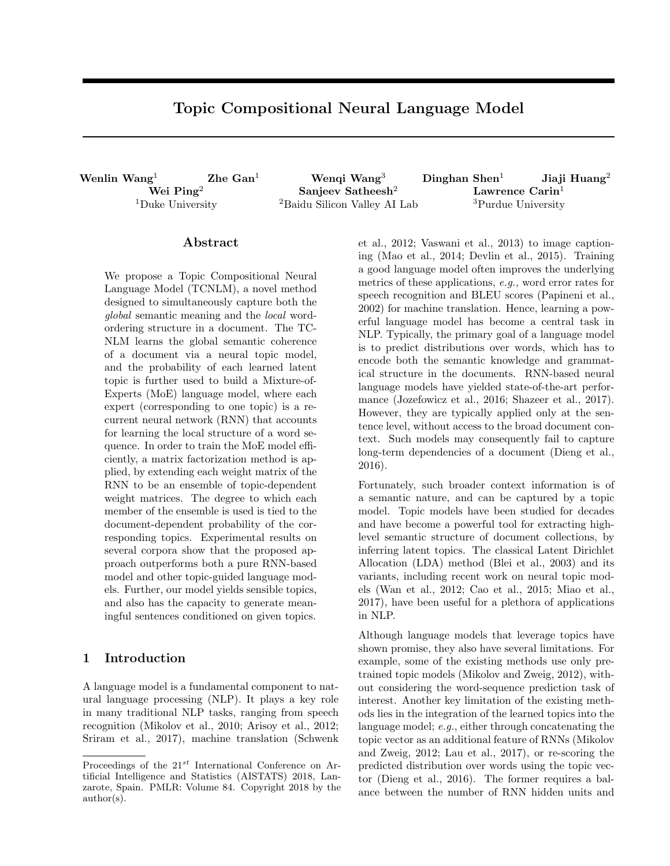# Topic Compositional Neural Language Model

Wenlin Wang<sup>1</sup> Zhe Gan<sup>1</sup> Wenqi Wang<sup>3</sup> Dinghan Shen<sup>1</sup> Jiaji Huang<sup>2</sup>

Wei Ping $^2$  Sanjeev Satheesh $^2$  Lawrence Carin $^1$ <sup>1</sup>Duke University <sup>2</sup>Baidu Silicon Valley AI Lab <sup>3</sup>Purdue University

## Abstract

We propose a Topic Compositional Neural Language Model (TCNLM), a novel method designed to simultaneously capture both the global semantic meaning and the local wordordering structure in a document. The TC-NLM learns the global semantic coherence of a document via a neural topic model, and the probability of each learned latent topic is further used to build a Mixture-of-Experts (MoE) language model, where each expert (corresponding to one topic) is a recurrent neural network (RNN) that accounts for learning the local structure of a word sequence. In order to train the MoE model efficiently, a matrix factorization method is applied, by extending each weight matrix of the RNN to be an ensemble of topic-dependent weight matrices. The degree to which each member of the ensemble is used is tied to the document-dependent probability of the corresponding topics. Experimental results on several corpora show that the proposed approach outperforms both a pure RNN-based model and other topic-guided language models. Further, our model yields sensible topics, and also has the capacity to generate meaningful sentences conditioned on given topics.

## 1 Introduction

A language model is a fundamental component to natural language processing (NLP). It plays a key role in many traditional NLP tasks, ranging from speech recognition (Mikolov et al., 2010; Arisoy et al., 2012; Sriram et al., 2017), machine translation (Schwenk

et al., 2012; Vaswani et al., 2013) to image captioning (Mao et al., 2014; Devlin et al., 2015). Training a good language model often improves the underlying metrics of these applications, e.g., word error rates for speech recognition and BLEU scores (Papineni et al., 2002) for machine translation. Hence, learning a powerful language model has become a central task in NLP. Typically, the primary goal of a language model is to predict distributions over words, which has to encode both the semantic knowledge and grammatical structure in the documents. RNN-based neural language models have yielded state-of-the-art performance (Jozefowicz et al., 2016; Shazeer et al., 2017). However, they are typically applied only at the sentence level, without access to the broad document context. Such models may consequently fail to capture long-term dependencies of a document (Dieng et al., 2016).

Fortunately, such broader context information is of a semantic nature, and can be captured by a topic model. Topic models have been studied for decades and have become a powerful tool for extracting highlevel semantic structure of document collections, by inferring latent topics. The classical Latent Dirichlet Allocation (LDA) method (Blei et al., 2003) and its variants, including recent work on neural topic models (Wan et al., 2012; Cao et al., 2015; Miao et al., 2017), have been useful for a plethora of applications in NLP.

Although language models that leverage topics have shown promise, they also have several limitations. For example, some of the existing methods use only pretrained topic models (Mikolov and Zweig, 2012), without considering the word-sequence prediction task of interest. Another key limitation of the existing methods lies in the integration of the learned topics into the language model; e.g., either through concatenating the topic vector as an additional feature of RNNs (Mikolov and Zweig, 2012; Lau et al., 2017), or re-scoring the predicted distribution over words using the topic vector (Dieng et al., 2016). The former requires a balance between the number of RNN hidden units and

Proceedings of the  $21^{st}$  International Conference on Artificial Intelligence and Statistics (AISTATS) 2018, Lanzarote, Spain. PMLR: Volume 84. Copyright 2018 by the author(s).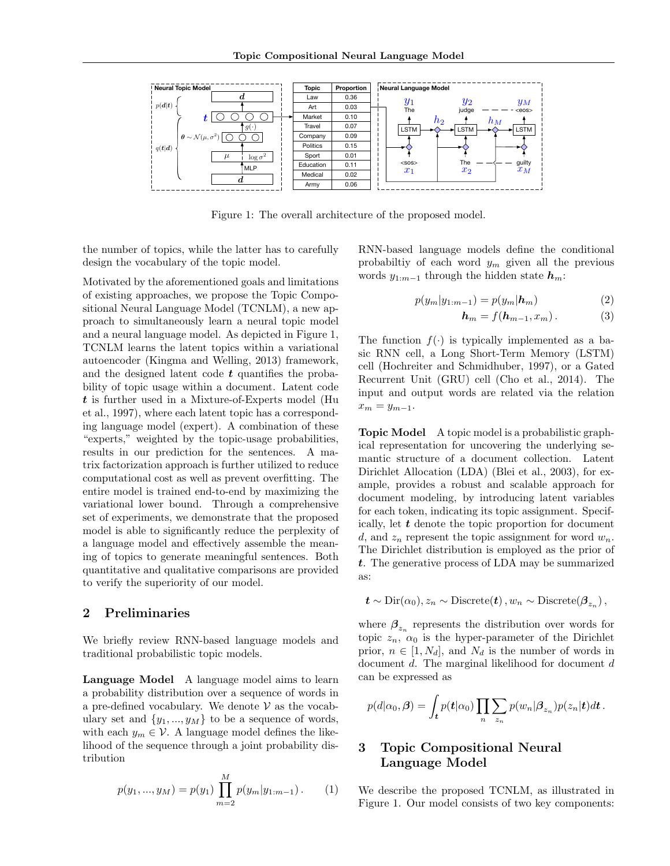

Figure 1: The overall architecture of the proposed model.

the number of topics, while the latter has to carefully design the vocabulary of the topic model.

Motivated by the aforementioned goals and limitations of existing approaches, we propose the Topic Compositional Neural Language Model (TCNLM), a new approach to simultaneously learn a neural topic model and a neural language model. As depicted in Figure 1, TCNLM learns the latent topics within a variational autoencoder (Kingma and Welling, 2013) framework, and the designed latent code  $t$  quantifies the probability of topic usage within a document. Latent code t is further used in a Mixture-of-Experts model (Hu et al., 1997), where each latent topic has a corresponding language model (expert). A combination of these "experts," weighted by the topic-usage probabilities, results in our prediction for the sentences. A matrix factorization approach is further utilized to reduce computational cost as well as prevent overfitting. The entire model is trained end-to-end by maximizing the variational lower bound. Through a comprehensive set of experiments, we demonstrate that the proposed model is able to significantly reduce the perplexity of a language model and effectively assemble the meaning of topics to generate meaningful sentences. Both quantitative and qualitative comparisons are provided to verify the superiority of our model.

## 2 Preliminaries

We briefly review RNN-based language models and traditional probabilistic topic models.

Language Model A language model aims to learn a probability distribution over a sequence of words in a pre-defined vocabulary. We denote  $V$  as the vocabulary set and  $\{y_1, ..., y_M\}$  to be a sequence of words, with each  $y_m \in V$ . A language model defines the likelihood of the sequence through a joint probability distribution

$$
p(y_1, ..., y_M) = p(y_1) \prod_{m=2}^{M} p(y_m | y_{1:m-1}).
$$
 (1)

RNN-based language models define the conditional probabiltiy of each word  $y_m$  given all the previous words  $y_{1:m-1}$  through the hidden state  $h_m$ :

$$
p(y_m|y_{1:m-1}) = p(y_m|\boldsymbol{h}_m)
$$
\n(2)

$$
\boldsymbol{h}_m = f(\boldsymbol{h}_{m-1}, x_m). \tag{3}
$$

The function  $f(.)$  is typically implemented as a basic RNN cell, a Long Short-Term Memory (LSTM) cell (Hochreiter and Schmidhuber, 1997), or a Gated Recurrent Unit (GRU) cell (Cho et al., 2014). The input and output words are related via the relation  $x_m = y_{m-1}.$ 

Topic Model A topic model is a probabilistic graphical representation for uncovering the underlying semantic structure of a document collection. Latent Dirichlet Allocation (LDA) (Blei et al., 2003), for example, provides a robust and scalable approach for document modeling, by introducing latent variables for each token, indicating its topic assignment. Specifically, let  $t$  denote the topic proportion for document d, and  $z_n$  represent the topic assignment for word  $w_n$ . The Dirichlet distribution is employed as the prior of t. The generative process of LDA may be summarized as:

$$
t \sim \text{Dir}(\alpha_0), z_n \sim \text{Discrete}(t), w_n \sim \text{Discrete}(\beta_{z_n}),
$$

where  $\beta_{z_n}$  represents the distribution over words for topic  $z_n$ ,  $\alpha_0$  is the hyper-parameter of the Dirichlet prior,  $n \in [1, N_d]$ , and  $N_d$  is the number of words in document d. The marginal likelihood for document d can be expressed as

$$
p(d|\alpha_0, \beta) = \int_{\boldsymbol{t}} p(\boldsymbol{t}|\alpha_0) \prod_n \sum_{z_n} p(w_n | \beta_{z_n}) p(z_n | \boldsymbol{t}) d\boldsymbol{t}.
$$

## 3 Topic Compositional Neural Language Model

We describe the proposed TCNLM, as illustrated in Figure 1. Our model consists of two key components: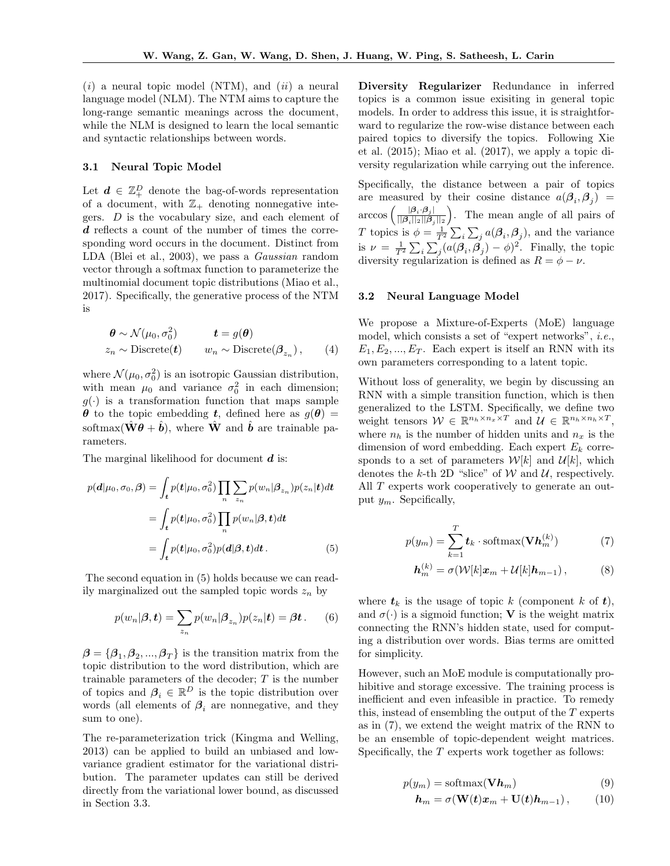$(i)$  a neural topic model (NTM), and  $(ii)$  a neural language model (NLM). The NTM aims to capture the long-range semantic meanings across the document, while the NLM is designed to learn the local semantic and syntactic relationships between words.

#### 3.1 Neural Topic Model

Let  $\boldsymbol{d} \in \mathbb{Z}_+^D$  denote the bag-of-words representation of a document, with  $\mathbb{Z}_+$  denoting nonnegative integers.  $D$  is the vocabulary size, and each element of d reflects a count of the number of times the corresponding word occurs in the document. Distinct from LDA (Blei et al., 2003), we pass a Gaussian random vector through a softmax function to parameterize the multinomial document topic distributions (Miao et al., 2017). Specifically, the generative process of the NTM is

$$
\begin{aligned}\n\boldsymbol{\theta} &\sim \mathcal{N}(\mu_0, \sigma_0^2) & t &= g(\boldsymbol{\theta}) \\
z_n &\sim \text{Discrete}(\boldsymbol{t}) & w_n &\sim \text{Discrete}(\boldsymbol{\beta}_{z_n}),\n\end{aligned} \tag{4}
$$

where  $\mathcal{N}(\mu_0, \sigma_0^2)$  is an isotropic Gaussian distribution, with mean  $\mu_0$  and variance  $\sigma_0^2$  in each dimension;  $g(\cdot)$  is a transformation function that maps sample  $\theta$  to the topic embedding t, defined here as  $g(\theta)$  = softmax( $\hat{\mathbf{W}}\boldsymbol{\theta} + \hat{\boldsymbol{b}}$ ), where  $\hat{\mathbf{W}}$  and  $\hat{\boldsymbol{b}}$  are trainable parameters.

The marginal likelihood for document  $\boldsymbol{d}$  is:

$$
p(\mathbf{d}|\mu_0, \sigma_0, \boldsymbol{\beta}) = \int_t p(\mathbf{t}|\mu_0, \sigma_0^2) \prod_n \sum_{z_n} p(w_n | \boldsymbol{\beta}_{z_n}) p(z_n | \mathbf{t}) d\mathbf{t}
$$
  
= 
$$
\int_t p(\mathbf{t}|\mu_0, \sigma_0^2) \prod_n p(w_n | \boldsymbol{\beta}, \mathbf{t}) d\mathbf{t}
$$
  
= 
$$
\int_t p(\mathbf{t}|\mu_0, \sigma_0^2) p(\mathbf{d}|\boldsymbol{\beta}, \mathbf{t}) d\mathbf{t}.
$$
 (5)

The second equation in (5) holds because we can readily marginalized out the sampled topic words  $z_n$  by

$$
p(w_n|\boldsymbol{\beta}, \boldsymbol{t}) = \sum_{z_n} p(w_n|\boldsymbol{\beta}_{z_n}) p(z_n|\boldsymbol{t}) = \boldsymbol{\beta} \boldsymbol{t}.
$$
 (6)

 $\boldsymbol{\beta} = {\beta_1, \beta_2, ..., \beta_T}$  is the transition matrix from the topic distribution to the word distribution, which are trainable parameters of the decoder;  $T$  is the number of topics and  $\beta_i \in \mathbb{R}^D$  is the topic distribution over words (all elements of  $\beta_i$  are nonnegative, and they sum to one).

The re-parameterization trick (Kingma and Welling, 2013) can be applied to build an unbiased and lowvariance gradient estimator for the variational distribution. The parameter updates can still be derived directly from the variational lower bound, as discussed in Section 3.3.

Diversity Regularizer Redundance in inferred topics is a common issue exisiting in general topic models. In order to address this issue, it is straightforward to regularize the row-wise distance between each paired topics to diversify the topics. Following Xie et al. (2015); Miao et al. (2017), we apply a topic diversity regularization while carrying out the inference.

Specifically, the distance between a pair of topics are measured by their cosine distance  $a(\beta_i, \beta_j)$  =  $\arccos\left(\frac{|\boldsymbol{\beta}_i \cdot \boldsymbol{\beta}_j|}{\|\boldsymbol{\beta}_i\|_{\mathcal{S}}\|\boldsymbol{\beta}_j\|_{\mathcal{S}}}$  $\frac{|\beta_i \cdot \beta_j|}{||\beta_i||_2||\beta_j||_2}$ . The mean angle of all pairs of T topics is  $\phi = \frac{1}{T^2} \sum_i \sum_j a(\boldsymbol{\beta}_i, \boldsymbol{\beta}_j)$ , and the variance is  $\nu = \frac{1}{T^2} \sum_i \sum_j (a(\boldsymbol{\beta}_i, \boldsymbol{\beta}_j) - \phi)^2$ . Finally, the topic diversity regularization is defined as  $R = \phi - \nu$ .

#### 3.2 Neural Language Model

We propose a Mixture-of-Experts (MoE) language model, which consists a set of "expert networks", i.e.,  $E_1, E_2, ..., E_T$ . Each expert is itself an RNN with its own parameters corresponding to a latent topic.

Without loss of generality, we begin by discussing an RNN with a simple transition function, which is then generalized to the LSTM. Specifically, we define two weight tensors  $W \in \mathbb{R}^{n_h \times n_u \times T}$  and  $\mathcal{U} \in \mathbb{R}^{n_h \times n_h \times T}$ , where  $n_h$  is the number of hidden units and  $n_x$  is the dimension of word embedding. Each expert  $E_k$  corresponds to a set of parameters  $\mathcal{W}[k]$  and  $\mathcal{U}[k]$ , which denotes the k-th 2D "slice" of  $W$  and  $U$ , respectively. All T experts work cooperatively to generate an output  $y_m$ . Sepcifically,

$$
p(y_m) = \sum_{k=1}^{T} t_k \cdot \text{softmax}(\mathbf{V}\mathbf{h}_m^{(k)})
$$
 (7)

$$
\boldsymbol{h}_m^{(k)} = \sigma(\mathcal{W}[k]\boldsymbol{x}_m + \mathcal{U}[k]\boldsymbol{h}_{m-1}), \quad (8)
$$

where  $t_k$  is the usage of topic k (component k of t), and  $\sigma(\cdot)$  is a sigmoid function; **V** is the weight matrix connecting the RNN's hidden state, used for computing a distribution over words. Bias terms are omitted for simplicity.

However, such an MoE module is computationally prohibitive and storage excessive. The training process is inefficient and even infeasible in practice. To remedy this, instead of ensembling the output of the T experts as in (7), we extend the weight matrix of the RNN to be an ensemble of topic-dependent weight matrices. Specifically, the  $T$  experts work together as follows:

$$
p(y_m) = \text{softmax}(\mathbf{V}\boldsymbol{h}_m) \tag{9}
$$

$$
\boldsymbol{h}_m = \sigma(\mathbf{W}(t)\boldsymbol{x}_m + \mathbf{U}(t)\boldsymbol{h}_{m-1}), \qquad (10)
$$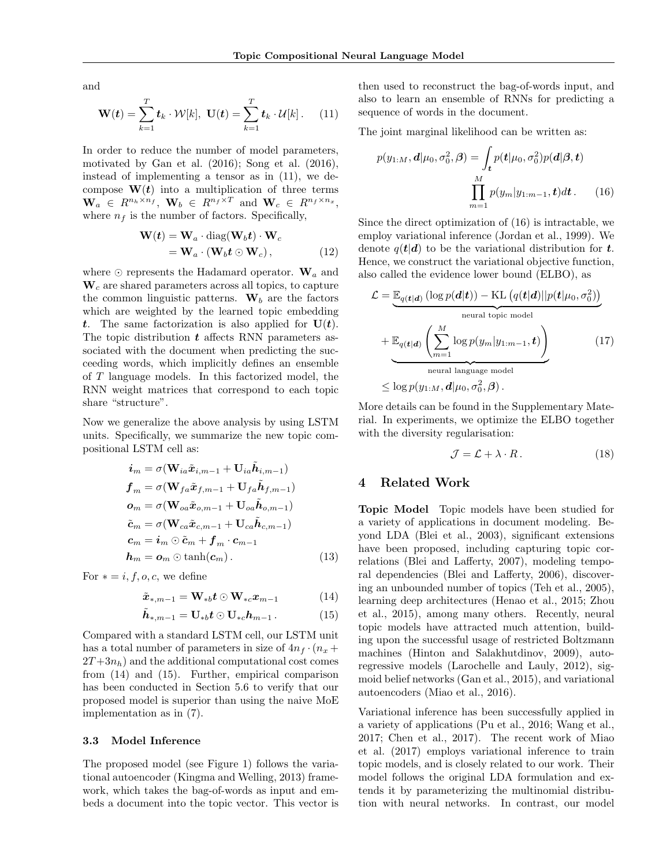and

$$
\mathbf{W}(t) = \sum_{k=1}^{T} t_k \cdot \mathcal{W}[k], \ \mathbf{U}(t) = \sum_{k=1}^{T} t_k \cdot \mathcal{U}[k]. \tag{11}
$$

In order to reduce the number of model parameters, motivated by Gan et al. (2016); Song et al. (2016), instead of implementing a tensor as in (11), we decompose  $W(t)$  into a multiplication of three terms  $\mathbf{W}_a \in R^{n_h \times n_f}, \ \mathbf{W}_b \in R^{n_f \times T} \text{ and } \mathbf{W}_c \in R^{n_f \times n_x},$ where  $n_f$  is the number of factors. Specifically,

$$
\mathbf{W}(t) = \mathbf{W}_a \cdot \text{diag}(\mathbf{W}_b t) \cdot \mathbf{W}_c
$$
  
=  $\mathbf{W}_a \cdot (\mathbf{W}_b t \odot \mathbf{W}_c),$  (12)

where  $\odot$  represents the Hadamard operator.  $\mathbf{W}_a$  and  $W_c$  are shared parameters across all topics, to capture the common linguistic patterns.  $\mathbf{W}_b$  are the factors which are weighted by the learned topic embedding t. The same factorization is also applied for  $U(t)$ . The topic distribution  $t$  affects RNN parameters associated with the document when predicting the succeeding words, which implicitly defines an ensemble of T language models. In this factorized model, the RNN weight matrices that correspond to each topic share "structure".

Now we generalize the above analysis by using LSTM units. Specifically, we summarize the new topic compositional LSTM cell as:

$$
\begin{aligned}\n\boldsymbol{i}_{m} &= \sigma(\mathbf{W}_{ia}\tilde{\boldsymbol{x}}_{i,m-1} + \mathbf{U}_{ia}\tilde{\boldsymbol{h}}_{i,m-1}) \\
\boldsymbol{f}_{m} &= \sigma(\mathbf{W}_{fa}\tilde{\boldsymbol{x}}_{f,m-1} + \mathbf{U}_{fa}\tilde{\boldsymbol{h}}_{f,m-1}) \\
\boldsymbol{o}_{m} &= \sigma(\mathbf{W}_{oa}\tilde{\boldsymbol{x}}_{o,m-1} + \mathbf{U}_{oa}\tilde{\boldsymbol{h}}_{o,m-1}) \\
\tilde{\boldsymbol{c}}_{m} &= \sigma(\mathbf{W}_{ca}\tilde{\boldsymbol{x}}_{c,m-1} + \mathbf{U}_{ca}\tilde{\boldsymbol{h}}_{c,m-1}) \\
\boldsymbol{c}_{m} &= \boldsymbol{i}_{m} \odot \tilde{\boldsymbol{c}}_{m} + \boldsymbol{f}_{m} \cdot \boldsymbol{c}_{m-1} \\
\boldsymbol{h}_{m} &= \boldsymbol{o}_{m} \odot \tanh(\boldsymbol{c}_{m}).\n\end{aligned} \tag{13}
$$

For  $* = i, f, o, c$ , we define

$$
\tilde{\boldsymbol{x}}_{*,m-1} = \mathbf{W}_{*b} \boldsymbol{t} \odot \mathbf{W}_{*c} \boldsymbol{x}_{m-1} \tag{14}
$$

$$
\tilde{\boldsymbol{h}}_{*,m-1} = \mathbf{U}_{*b} \boldsymbol{t} \odot \mathbf{U}_{*c} \boldsymbol{h}_{m-1} . \qquad (15)
$$

Compared with a standard LSTM cell, our LSTM unit has a total number of parameters in size of  $4n_f \cdot (n_x +$  $2T+3n_h$ ) and the additional computational cost comes from (14) and (15). Further, empirical comparison has been conducted in Section 5.6 to verify that our proposed model is superior than using the naive MoE implementation as in (7).

#### 3.3 Model Inference

The proposed model (see Figure 1) follows the variational autoencoder (Kingma and Welling, 2013) framework, which takes the bag-of-words as input and embeds a document into the topic vector. This vector is then used to reconstruct the bag-of-words input, and also to learn an ensemble of RNNs for predicting a sequence of words in the document.

The joint marginal likelihood can be written as:

$$
p(y_{1:M}, \mathbf{d}|\mu_0, \sigma_0^2, \mathbf{\beta}) = \int_{\mathbf{t}} p(\mathbf{t}|\mu_0, \sigma_0^2) p(\mathbf{d}|\mathbf{\beta}, \mathbf{t})
$$

$$
\prod_{m=1}^{M} p(y_m|y_{1:m-1}, \mathbf{t}) d\mathbf{t}.
$$
 (16)

Since the direct optimization of (16) is intractable, we employ variational inference (Jordan et al., 1999). We denote  $q(t|d)$  to be the variational distribution for t. Hence, we construct the variational objective function, also called the evidence lower bound (ELBO), as

$$
\mathcal{L} = \underbrace{\mathbb{E}_{q(t|\boldsymbol{d})} (\log p(\boldsymbol{d}|\boldsymbol{t})) - \text{KL} (q(t|\boldsymbol{d})||p(t|\mu_0, \sigma_0^2))}_{\text{neural topic model}}
$$
\n
$$
+ \underbrace{\mathbb{E}_{q(t|\boldsymbol{d})} \left( \sum_{m=1}^{M} \log p(y_m|y_{1:m-1}, \boldsymbol{t}) \right)}_{\text{neural language model}}
$$
\n
$$
\leq \log p(y_{1:M}, \boldsymbol{d}|\mu_0, \sigma_0^2, \boldsymbol{\beta}).
$$
\n(17)

More details can be found in the Supplementary Material. In experiments, we optimize the ELBO together with the diversity regularisation:

$$
\mathcal{J} = \mathcal{L} + \lambda \cdot R. \tag{18}
$$

### 4 Related Work

Topic Model Topic models have been studied for a variety of applications in document modeling. Beyond LDA (Blei et al., 2003), significant extensions have been proposed, including capturing topic correlations (Blei and Lafferty, 2007), modeling temporal dependencies (Blei and Lafferty, 2006), discovering an unbounded number of topics (Teh et al., 2005), learning deep architectures (Henao et al., 2015; Zhou et al., 2015), among many others. Recently, neural topic models have attracted much attention, building upon the successful usage of restricted Boltzmann machines (Hinton and Salakhutdinov, 2009), autoregressive models (Larochelle and Lauly, 2012), sigmoid belief networks (Gan et al., 2015), and variational autoencoders (Miao et al., 2016).

Variational inference has been successfully applied in a variety of applications (Pu et al., 2016; Wang et al., 2017; Chen et al., 2017). The recent work of Miao et al. (2017) employs variational inference to train topic models, and is closely related to our work. Their model follows the original LDA formulation and extends it by parameterizing the multinomial distribution with neural networks. In contrast, our model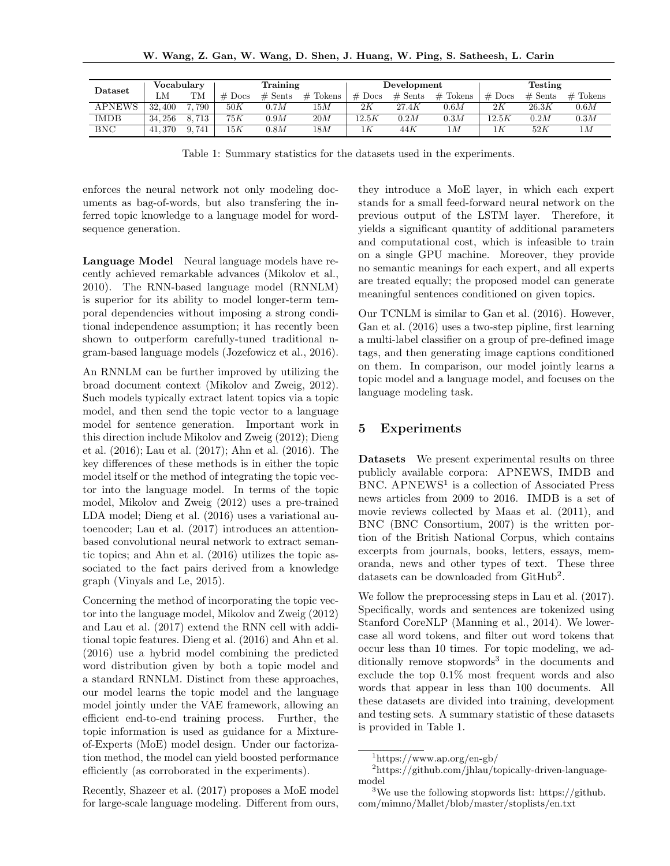| Dataset | Vocabularv |       | Training |           |            | Development |           |            | Testing  |           |            |
|---------|------------|-------|----------|-----------|------------|-------------|-----------|------------|----------|-----------|------------|
|         | LΜ         | TМ    | $#$ Docs | $#$ Sents | $#$ Tokens | $#$ Docs    | $#$ Sents | $#$ Tokens | $#$ Docs | $#$ Sents | $#$ Tokens |
| APNEWS  | 32,400     | 790   | 50K      | 0.7M      | 15M        | 2К          | 27.4K     | 0.6M       | 2К       | 26.3K     | 0.6M       |
| IMDB    | 34.256     | 8.713 | 75K      | 0.9M      | 20M        | 12.5K       | 0.2M      | 0.3M       | 12.5K    | 0.2M      | 0.3M       |
| BNC     | 41.370     | 741   | 15K      | 0.8M      | 18M        | ıΚ          | 44K       | 1 M        |          | 52K       | 1М         |

Table 1: Summary statistics for the datasets used in the experiments.

enforces the neural network not only modeling documents as bag-of-words, but also transfering the inferred topic knowledge to a language model for wordsequence generation.

Language Model Neural language models have recently achieved remarkable advances (Mikolov et al., 2010). The RNN-based language model (RNNLM) is superior for its ability to model longer-term temporal dependencies without imposing a strong conditional independence assumption; it has recently been shown to outperform carefully-tuned traditional ngram-based language models (Jozefowicz et al., 2016).

An RNNLM can be further improved by utilizing the broad document context (Mikolov and Zweig, 2012). Such models typically extract latent topics via a topic model, and then send the topic vector to a language model for sentence generation. Important work in this direction include Mikolov and Zweig (2012); Dieng et al. (2016); Lau et al. (2017); Ahn et al. (2016). The key differences of these methods is in either the topic model itself or the method of integrating the topic vector into the language model. In terms of the topic model, Mikolov and Zweig (2012) uses a pre-trained LDA model; Dieng et al. (2016) uses a variational autoencoder; Lau et al. (2017) introduces an attentionbased convolutional neural network to extract semantic topics; and Ahn et al. (2016) utilizes the topic associated to the fact pairs derived from a knowledge graph (Vinyals and Le, 2015).

Concerning the method of incorporating the topic vector into the language model, Mikolov and Zweig (2012) and Lau et al. (2017) extend the RNN cell with additional topic features. Dieng et al. (2016) and Ahn et al. (2016) use a hybrid model combining the predicted word distribution given by both a topic model and a standard RNNLM. Distinct from these approaches, our model learns the topic model and the language model jointly under the VAE framework, allowing an efficient end-to-end training process. Further, the topic information is used as guidance for a Mixtureof-Experts (MoE) model design. Under our factorization method, the model can yield boosted performance efficiently (as corroborated in the experiments).

Recently, Shazeer et al. (2017) proposes a MoE model for large-scale language modeling. Different from ours,

they introduce a MoE layer, in which each expert stands for a small feed-forward neural network on the previous output of the LSTM layer. Therefore, it yields a significant quantity of additional parameters and computational cost, which is infeasible to train on a single GPU machine. Moreover, they provide no semantic meanings for each expert, and all experts are treated equally; the proposed model can generate meaningful sentences conditioned on given topics.

Our TCNLM is similar to Gan et al. (2016). However, Gan et al. (2016) uses a two-step pipline, first learning a multi-label classifier on a group of pre-defined image tags, and then generating image captions conditioned on them. In comparison, our model jointly learns a topic model and a language model, and focuses on the language modeling task.

## 5 Experiments

Datasets We present experimental results on three publicly available corpora: APNEWS, IMDB and BNC. APNEWS<sup>1</sup> is a collection of Associated Press news articles from 2009 to 2016. IMDB is a set of movie reviews collected by Maas et al. (2011), and BNC (BNC Consortium, 2007) is the written portion of the British National Corpus, which contains excerpts from journals, books, letters, essays, memoranda, news and other types of text. These three datasets can be downloaded from GitHub<sup>2</sup>.

We follow the preprocessing steps in Lau et al. (2017). Specifically, words and sentences are tokenized using Stanford CoreNLP (Manning et al., 2014). We lowercase all word tokens, and filter out word tokens that occur less than 10 times. For topic modeling, we additionally remove stopwords<sup>3</sup> in the documents and exclude the top 0.1% most frequent words and also words that appear in less than 100 documents. All these datasets are divided into training, development and testing sets. A summary statistic of these datasets is provided in Table 1.

<sup>1</sup>https://www.ap.org/en-gb/

<sup>2</sup>https://github.com/jhlau/topically-driven-languagemodel

<sup>3</sup>We use the following stopwords list: https://github. com/mimno/Mallet/blob/master/stoplists/en.txt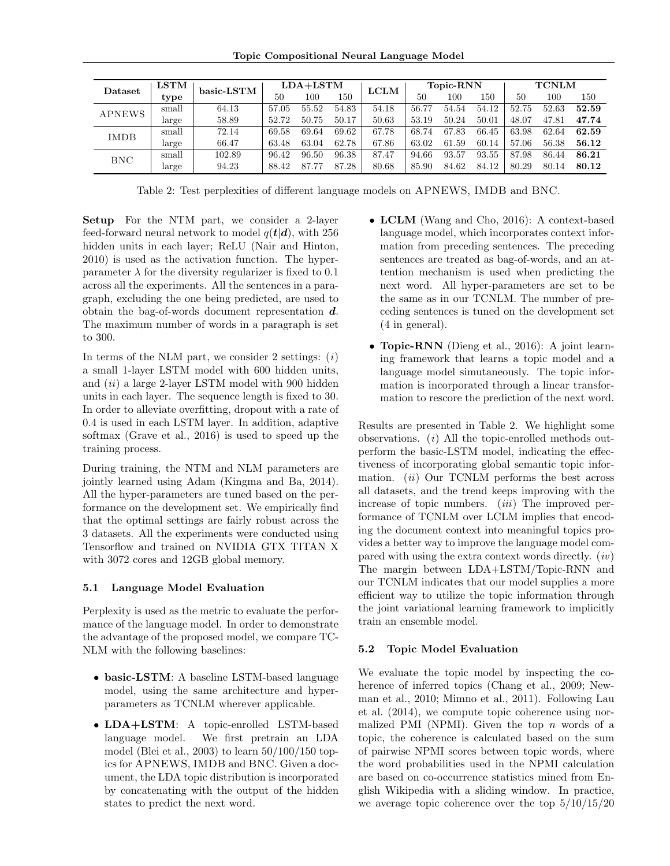| Dataset       | <b>LSTM</b> | basic-LSTM | $LDA+LSTM$ |       |       | <b>LCLM</b> | <b>Topic-RNN</b> |       |       | <b>TCNLM</b> |       |       |
|---------------|-------------|------------|------------|-------|-------|-------------|------------------|-------|-------|--------------|-------|-------|
|               | type        |            | 50         | 100   | 150   |             | 50               | 100   | 150   | 50           | 100   | 150   |
| <b>APNEWS</b> | small       | 64.13      | 57.05      | 55.52 | 54.83 | 54.18       | 56.77            | 54.54 | 54.12 | 52.75        | 52.63 | 52.59 |
|               | large       | 58.89      | 52.72      | 50.75 | 50.17 | 50.63       | 53.19            | 50.24 | 50.01 | 48.07        | 47.81 | 47.74 |
| <b>IMDB</b>   | small       | 72.14      | 69.58      | 69.64 | 69.62 | 67.78       | 68.74            | 67.83 | 66.45 | 63.98        | 62.64 | 62.59 |
|               | large       | 66.47      | 63.48      | 63.04 | 62.78 | 67.86       | 63.02            | 61.59 | 60.14 | 57.06        | 56.38 | 56.12 |
| <b>BNC</b>    | small       | 102.89     | 96.42      | 96.50 | 96.38 | 87.47       | 94.66            | 93.57 | 93.55 | 87.98        | 86.44 | 86.21 |
|               | large       | 94.23      | 88.42      | 87.77 | 87.28 | 80.68       | 85.90            | 84.62 | 84.12 | 80.29        | 80.14 | 80.12 |

Table 2: Test perplexities of different language models on APNEWS, IMDB and BNC.

Setup For the NTM part, we consider a 2-layer feed-forward neural network to model  $q(t|\boldsymbol{d})$ , with 256 hidden units in each layer; ReLU (Nair and Hinton, 2010) is used as the activation function. The hyperparameter  $\lambda$  for the diversity regularizer is fixed to 0.1 across all the experiments. All the sentences in a paragraph, excluding the one being predicted, are used to obtain the bag-of-words document representation d. The maximum number of words in a paragraph is set to 300.

In terms of the NLM part, we consider 2 settings:  $(i)$ a small 1-layer LSTM model with 600 hidden units, and *(ii)* a large 2-layer LSTM model with 900 hidden units in each layer. The sequence length is fixed to 30. In order to alleviate overfitting, dropout with a rate of 0.4 is used in each LSTM layer. In addition, adaptive softmax (Grave et al., 2016) is used to speed up the training process.

During training, the NTM and NLM parameters are jointly learned using Adam (Kingma and Ba, 2014). All the hyper-parameters are tuned based on the performance on the development set. We empirically find that the optimal settings are fairly robust across the 3 datasets. All the experiments were conducted using Tensorflow and trained on NVIDIA GTX TITAN X with 3072 cores and 12GB global memory.

### 5.1 Language Model Evaluation

Perplexity is used as the metric to evaluate the performance of the language model. In order to demonstrate the advantage of the proposed model, we compare TC-NLM with the following baselines:

- basic-LSTM: A baseline LSTM-based language model, using the same architecture and hyperparameters as TCNLM wherever applicable.
- LDA+LSTM: A topic-enrolled LSTM-based<br>language model. We first pretrain an LDA We first pretrain an LDA model (Blei et al., 2003) to learn 50/100/150 topics for APNEWS, IMDB and BNC. Given a document, the LDA topic distribution is incorporated by concatenating with the output of the hidden states to predict the next word.
- LCLM (Wang and Cho, 2016): A context-based language model, which incorporates context information from preceding sentences. The preceding sentences are treated as bag-of-words, and an attention mechanism is used when predicting the next word. All hyper-parameters are set to be the same as in our TCNLM. The number of preceding sentences is tuned on the development set (4 in general).
- **Topic-RNN** (Dieng et al., 2016): A joint learning framework that learns a topic model and a language model simutaneously. The topic information is incorporated through a linear transformation to rescore the prediction of the next word.

Results are presented in Table 2. We highlight some observations. (i) All the topic-enrolled methods outperform the basic-LSTM model, indicating the effectiveness of incorporating global semantic topic information.  $(ii)$  Our TCNLM performs the best across all datasets, and the trend keeps improving with the increase of topic numbers. *(iii)* The improved performance of TCNLM over LCLM implies that encoding the document context into meaningful topics provides a better way to improve the language model compared with using the extra context words directly.  $(iv)$ The margin between LDA+LSTM/Topic-RNN and our TCNLM indicates that our model supplies a more efficient way to utilize the topic information through the joint variational learning framework to implicitly train an ensemble model.

#### 5.2 Topic Model Evaluation

We evaluate the topic model by inspecting the coherence of inferred topics (Chang et al., 2009; Newman et al., 2010; Mimno et al., 2011). Following Lau et al. (2014), we compute topic coherence using normalized PMI (NPMI). Given the top  $n$  words of a topic, the coherence is calculated based on the sum of pairwise NPMI scores between topic words, where the word probabilities used in the NPMI calculation are based on co-occurrence statistics mined from English Wikipedia with a sliding window. In practice, we average topic coherence over the top  $5/10/15/20$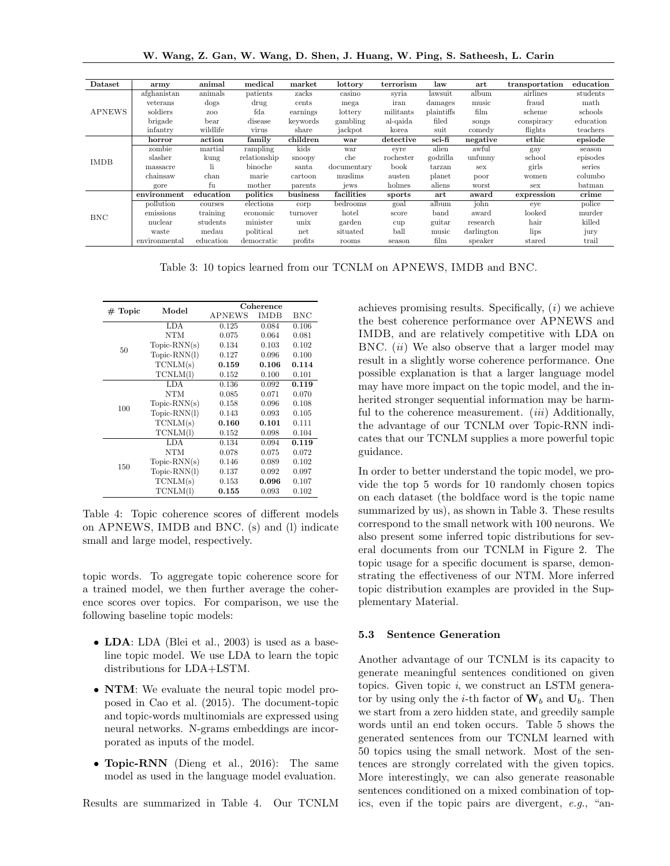W. Wang, Z. Gan, W. Wang, D. Shen, J. Huang, W. Ping, S. Satheesh, L. Carin

| Dataset       | army          | animal        | medical      | market   | lottory     | terrorism | law        | art        | transportation          | education |
|---------------|---------------|---------------|--------------|----------|-------------|-----------|------------|------------|-------------------------|-----------|
| <b>APNEWS</b> | afghanistan   | animals       | patients     | zacks    | casino      | syria     | lawsuit    | album      | airlines                | students  |
|               | veterans      | $\log s$      | drug         | cents    | mega        | iran      | damages    | music      | fraud                   | math      |
|               | soldiers      | ZOO           | fda          | earnings | lottery     | militants | plaintiffs | film       | scheme                  | schools   |
|               | brigade       | $_{\rm bear}$ | disease      | keywords | gambling    | al-qaida  | filed      | songs      | conspiracy              | education |
|               | infantry      | wildlife      | virus        | share    | jackpot     | korea     | suit       | comedy     | flights                 | teachers  |
| <b>IMDB</b>   | horror        | action        | family       | children | war         | detective | sci-fi     | negative   | ethic                   | epsiode   |
|               | zombie        | martial       | rampling     | kids     | war         | evre      | alien      | awful      | gay                     | season    |
|               | slasher       | kung          | relationship | snoopy   | che         | rochester | godzilla   | unfunny    | school                  | episodes  |
|               | massacre      | li            | binoche      | santa    | documentary | book      | tarzan     | sex        | girls                   | series    |
|               | chainsaw      | chan          | marie        | cartoon  | muslims     | austen    | planet     | poor       | women                   | columbo   |
|               | gore          | fu            | mother       | parents  | jews        | holmes    | aliens     | worst      | sex                     | batman    |
|               | environment   | education     | politics     | business | facilities  | sports    | art        | award      | expression              | crime     |
|               | pollution     | courses       | elections    | corp     | bedrooms    | goal      | album      | john       | eve                     | police    |
| <b>BNC</b>    | emissions     | training      | economic     | turnover | hotel       | score     | band       | award      | $\operatorname{looked}$ | murder    |
|               | nuclear       | students      | minister     | unix     | garden      | cup       | guitar     | research   | hair                    | killed    |
|               | waste         | medau         | political    | net      | situated    | ball      | music      | darlington | lips                    | jury      |
|               | environmental | education     | democratic   | profits  | rooms       | season    | film       | speaker    | stared                  | trail     |

Table 3: 10 topics learned from our TCNLM on APNEWS, IMDB and BNC.

| $#$ Topic | Model          | Coherence   |            |       |  |  |  |
|-----------|----------------|-------------|------------|-------|--|--|--|
|           |                | APNEWS      | IMDB       | BNC   |  |  |  |
|           | LDA            | 0.125       | 0.084      | 0.106 |  |  |  |
|           | NTM            | 0.075       | 0.064      | 0.081 |  |  |  |
| 50        | $Topic-RNN(s)$ | 0.134       | 0.103      | 0.102 |  |  |  |
|           | $Topic-RNN(1)$ | 0.127       | 0.096      | 0.100 |  |  |  |
|           | TCNLM(s)       | 0.159       | 0.106      | 0.114 |  |  |  |
|           | TCNLM(1)       | 0.152       | 0.100      | 0.101 |  |  |  |
|           | LDA            | 0.136       | 0.092      | 0.119 |  |  |  |
|           | <b>NTM</b>     | 0.085       | 0.071      | 0.070 |  |  |  |
| 100       | $Topic-RNN(s)$ | 0.158       | 0.096      | 0.108 |  |  |  |
|           | $Topic-RNN(1)$ | 0.143       | 0.093      | 0.105 |  |  |  |
|           | TCNLM(s)       | 0.160       | 0.101      | 0.111 |  |  |  |
|           | TCNLM(1)       | 0.152       | 0.098      | 0.104 |  |  |  |
|           | LDA            | 0.134       | 0.094      | 0.119 |  |  |  |
|           | NTM            | 0.078       | 0.075      | 0.072 |  |  |  |
| 150       | $Topic-RNN(s)$ | 0.146       | 0.089      | 0.102 |  |  |  |
|           | $Topic-RNN(1)$ | 0.137       | 0.092      | 0.097 |  |  |  |
|           | TCNLM(s)       | 0.153       | 0.096      | 0.107 |  |  |  |
|           | TCNLM(1)       | $\rm 0.155$ | $_{0.093}$ | 0.102 |  |  |  |

Table 4: Topic coherence scores of different models on APNEWS, IMDB and BNC. (s) and (l) indicate small and large model, respectively.

topic words. To aggregate topic coherence score for a trained model, we then further average the coherence scores over topics. For comparison, we use the following baseline topic models:

- LDA: LDA (Blei et al., 2003) is used as a baseline topic model. We use LDA to learn the topic distributions for LDA+LSTM.
- **NTM**: We evaluate the neural topic model proposed in Cao et al. (2015). The document-topic and topic-words multinomials are expressed using neural networks. N-grams embeddings are incorporated as inputs of the model.
- Topic-RNN (Dieng et al., 2016): The same model as used in the language model evaluation.

Results are summarized in Table 4. Our TCNLM

achieves promising results. Specifically,  $(i)$  we achieve the best coherence performance over APNEWS and IMDB, and are relatively competitive with LDA on BNC.  $(ii)$  We also observe that a larger model may result in a slightly worse coherence performance. One possible explanation is that a larger language model may have more impact on the topic model, and the inherited stronger sequential information may be harmful to the coherence measurement.  $(iii)$  Additionally, the advantage of our TCNLM over Topic-RNN indicates that our TCNLM supplies a more powerful topic guidance.

In order to better understand the topic model, we provide the top 5 words for 10 randomly chosen topics on each dataset (the boldface word is the topic name summarized by us), as shown in Table 3. These results correspond to the small network with 100 neurons. We also present some inferred topic distributions for several documents from our TCNLM in Figure 2. The topic usage for a specific document is sparse, demonstrating the effectiveness of our NTM. More inferred topic distribution examples are provided in the Supplementary Material.

#### 5.3 Sentence Generation

Another advantage of our TCNLM is its capacity to generate meaningful sentences conditioned on given topics. Given topic  $i$ , we construct an LSTM generator by using only the *i*-th factor of  $W_b$  and  $U_b$ . Then we start from a zero hidden state, and greedily sample words until an end token occurs. Table 5 shows the generated sentences from our TCNLM learned with 50 topics using the small network. Most of the sentences are strongly correlated with the given topics. More interestingly, we can also generate reasonable sentences conditioned on a mixed combination of topics, even if the topic pairs are divergent, e.g., "an-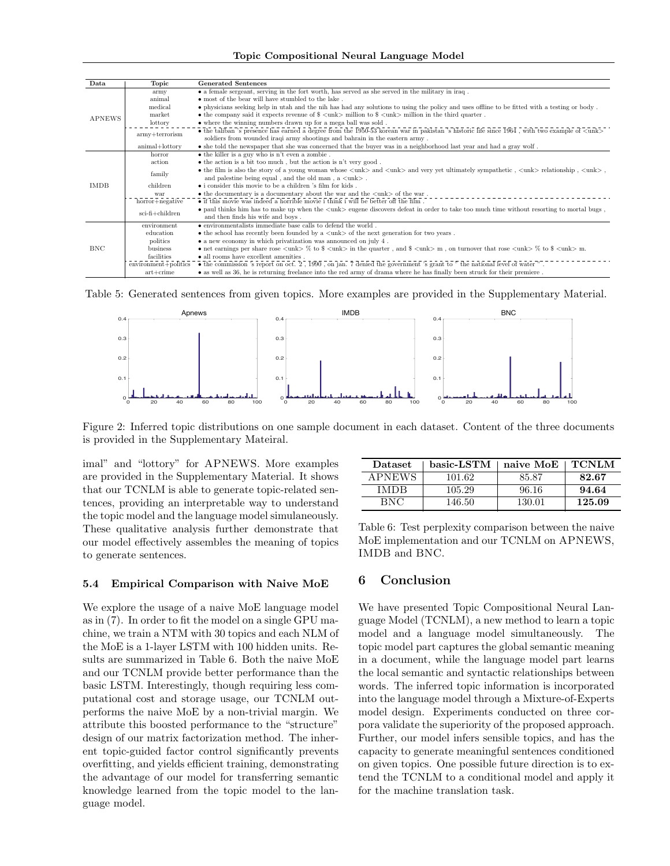Topic Compositional Neural Language Model

| Data          | Topic                                                                                                                                                                                                                                                                                                                      | <b>Generated Sentences</b>                                                                                                                                                                                                                  |  |  |  |  |  |  |
|---------------|----------------------------------------------------------------------------------------------------------------------------------------------------------------------------------------------------------------------------------------------------------------------------------------------------------------------------|---------------------------------------------------------------------------------------------------------------------------------------------------------------------------------------------------------------------------------------------|--|--|--|--|--|--|
|               | army                                                                                                                                                                                                                                                                                                                       | • a female sergeant, serving in the fort worth, has served as she served in the military in iraq.                                                                                                                                           |  |  |  |  |  |  |
|               | animal                                                                                                                                                                                                                                                                                                                     | • most of the bear will have stumbled to the lake.                                                                                                                                                                                          |  |  |  |  |  |  |
|               | medical                                                                                                                                                                                                                                                                                                                    | • physicians seeking help in utah and the nih has had any solutions to using the policy and uses offline to be fitted with a testing or body.                                                                                               |  |  |  |  |  |  |
|               | market                                                                                                                                                                                                                                                                                                                     | • the company said it expects revenue of $\frac{1}{2}$ < unk > million to $\frac{1}{2}$ < unk > million in the third quarter.                                                                                                               |  |  |  |  |  |  |
| <b>APNEWS</b> | lottory                                                                                                                                                                                                                                                                                                                    | • where the winning numbers drawn up for a mega ball was sold.                                                                                                                                                                              |  |  |  |  |  |  |
|               | $army+terrorism$                                                                                                                                                                                                                                                                                                           | • the taliban's presence has earned a degree from the 1950-53 korean war in pakistan's historic life since 1964, with two example of $\langle$ unk $\rangle$<br>soldiers from wounded iraqi army shootings and bahrain in the eastern army. |  |  |  |  |  |  |
|               | animal+lottory                                                                                                                                                                                                                                                                                                             | • she told the newspaper that she was concerned that the buyer was in a neighborhood last year and had a gray wolf.                                                                                                                         |  |  |  |  |  |  |
|               | horror                                                                                                                                                                                                                                                                                                                     | • the killer is a guy who is n't even a zombie.                                                                                                                                                                                             |  |  |  |  |  |  |
|               | action                                                                                                                                                                                                                                                                                                                     | $\bullet$ the action is a bit too much, but the action is n't very good.                                                                                                                                                                    |  |  |  |  |  |  |
|               | • the film is also the story of a young woman whose $\langle \text{unk} \rangle$ and $\langle \text{unk} \rangle$ and very yet ultimately sympathetic, $\langle \text{unk} \rangle$ relationship, $\langle \text{unk} \rangle$ ,<br>family<br>and palestine being equal, and the old man, $a \langle \text{unk} \rangle$ . |                                                                                                                                                                                                                                             |  |  |  |  |  |  |
| <b>IMDB</b>   | children                                                                                                                                                                                                                                                                                                                   | • i consider this movie to be a children 's film for kids.                                                                                                                                                                                  |  |  |  |  |  |  |
|               | war                                                                                                                                                                                                                                                                                                                        | $\bullet$ the documentary is a documentary about the war and the $\langle \text{unk}} \rangle$ of the war.                                                                                                                                  |  |  |  |  |  |  |
|               | horror+negative                                                                                                                                                                                                                                                                                                            | $\bullet$ if this movie was indeed a horrible movie i think i will be better off the film.                                                                                                                                                  |  |  |  |  |  |  |
|               | $sci$ -fi+children                                                                                                                                                                                                                                                                                                         | • paul thinks him has to make up when the <unk> eugene discovers defeat in order to take too much time without resorting to mortal bugs,<br/>and then finds his wife and boys.</unk>                                                        |  |  |  |  |  |  |
|               | environment                                                                                                                                                                                                                                                                                                                | $\bullet$ environmentalists immediate base calls to defend the world.                                                                                                                                                                       |  |  |  |  |  |  |
|               | education                                                                                                                                                                                                                                                                                                                  | $\bullet$ the school has recently been founded by a $\langle \text{unk} \rangle$ of the next generation for two years.                                                                                                                      |  |  |  |  |  |  |
|               | politics                                                                                                                                                                                                                                                                                                                   | $\bullet$ a new economy in which privatization was announced on july 4.                                                                                                                                                                     |  |  |  |  |  |  |
| <b>BNC</b>    | business                                                                                                                                                                                                                                                                                                                   | • net earnings per share rose $\langle \text{unk} \rangle$ % to $\langle \text{unk} \rangle$ in the quarter, and $\langle \text{unk} \rangle$ m, on turnover that rose $\langle \text{unk} \rangle$ % to $\langle \text{unk} \rangle$ m.    |  |  |  |  |  |  |
|               | facilities                                                                                                                                                                                                                                                                                                                 | • all rooms have excellent amenities.                                                                                                                                                                                                       |  |  |  |  |  |  |
|               | $environment + politics$                                                                                                                                                                                                                                                                                                   | $\bullet$ the commission 's report on oct. 2, 1990, on jan. 7 denied the government 's grant to " the national level of water ".                                                                                                            |  |  |  |  |  |  |
|               | $art + crime$                                                                                                                                                                                                                                                                                                              | • as well as 36, he is returning freelance into the red army of drama where he has finally been struck for their premiere.                                                                                                                  |  |  |  |  |  |  |

Table 5: Generated sentences from given topics. More examples are provided in the Supplementary Material.



Figure 2: Inferred topic distributions on one sample document in each dataset. Content of the three documents is provided in the Supplementary Mateiral.

imal" and "lottory" for APNEWS. More examples are provided in the Supplementary Material. It shows that our TCNLM is able to generate topic-related sentences, providing an interpretable way to understand the topic model and the language model simulaneously. These qualitative analysis further demonstrate that our model effectively assembles the meaning of topics to generate sentences.

### 5.4 Empirical Comparison with Naive MoE

We explore the usage of a naive MoE language model as in (7). In order to fit the model on a single GPU machine, we train a NTM with 30 topics and each NLM of the MoE is a 1-layer LSTM with 100 hidden units. Results are summarized in Table 6. Both the naive MoE and our TCNLM provide better performance than the basic LSTM. Interestingly, though requiring less computational cost and storage usage, our TCNLM outperforms the naive MoE by a non-trivial margin. We attribute this boosted performance to the "structure" design of our matrix factorization method. The inherent topic-guided factor control significantly prevents overfitting, and yields efficient training, demonstrating the advantage of our model for transferring semantic knowledge learned from the topic model to the language model.

| Dataset       | basic-LSTM | naive MoE | <b>TCNLM</b> |
|---------------|------------|-----------|--------------|
| <b>APNEWS</b> | 101.62     | 85.87     | 82.67        |
| IMDR          | 105.29     | 96.16     | 94.64        |
| <b>BNC</b>    | 146.50     | 130.01    | 125.09       |

Table 6: Test perplexity comparison between the naive MoE implementation and our TCNLM on APNEWS, IMDB and BNC.

## 6 Conclusion

We have presented Topic Compositional Neural Language Model (TCNLM), a new method to learn a topic model and a language model simultaneously. The topic model part captures the global semantic meaning in a document, while the language model part learns the local semantic and syntactic relationships between words. The inferred topic information is incorporated into the language model through a Mixture-of-Experts model design. Experiments conducted on three corpora validate the superiority of the proposed approach. Further, our model infers sensible topics, and has the capacity to generate meaningful sentences conditioned on given topics. One possible future direction is to extend the TCNLM to a conditional model and apply it for the machine translation task.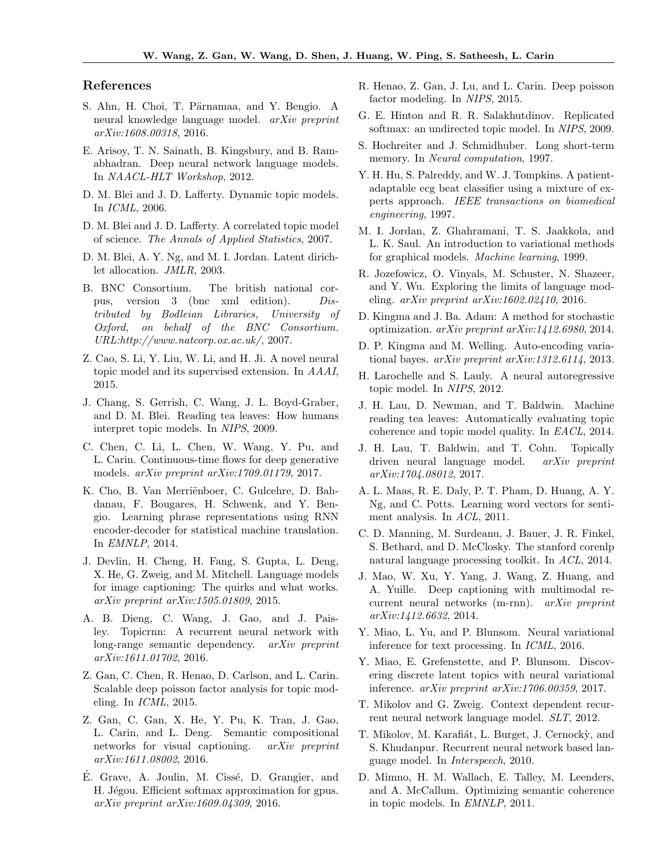### References

- S. Ahn, H. Choi, T. Pärnamaa, and Y. Bengio. A neural knowledge language model. arXiv preprint arXiv:1608.00318, 2016.
- E. Arisoy, T. N. Sainath, B. Kingsbury, and B. Ramabhadran. Deep neural network language models. In NAACL-HLT Workshop, 2012.
- D. M. Blei and J. D. Lafferty. Dynamic topic models. In ICML, 2006.
- D. M. Blei and J. D. Lafferty. A correlated topic model of science. The Annals of Applied Statistics, 2007.
- D. M. Blei, A. Y. Ng, and M. I. Jordan. Latent dirichlet allocation. JMLR, 2003.
- B. BNC Consortium. The british national corpus, version 3 (bnc xml edition). Distributed by Bodleian Libraries, University of Oxford, on behalf of the BNC Consortium. URL:http://www.natcorp.ox.ac.uk/, 2007.
- Z. Cao, S. Li, Y. Liu, W. Li, and H. Ji. A novel neural topic model and its supervised extension. In AAAI, 2015.
- J. Chang, S. Gerrish, C. Wang, J. L. Boyd-Graber, and D. M. Blei. Reading tea leaves: How humans interpret topic models. In NIPS, 2009.
- C. Chen, C. Li, L. Chen, W. Wang, Y. Pu, and L. Carin. Continuous-time flows for deep generative models. *arXiv preprint arXiv:1709.01179*, 2017.
- K. Cho, B. Van Merriënboer, C. Gulcehre, D. Bahdanau, F. Bougares, H. Schwenk, and Y. Bengio. Learning phrase representations using RNN encoder-decoder for statistical machine translation. In EMNLP, 2014.
- J. Devlin, H. Cheng, H. Fang, S. Gupta, L. Deng, X. He, G. Zweig, and M. Mitchell. Language models for image captioning: The quirks and what works. arXiv preprint arXiv:1505.01809, 2015.
- A. B. Dieng, C. Wang, J. Gao, and J. Paisley. Topicrnn: A recurrent neural network with long-range semantic dependency. arXiv preprint arXiv:1611.01702, 2016.
- Z. Gan, C. Chen, R. Henao, D. Carlson, and L. Carin. Scalable deep poisson factor analysis for topic modeling. In ICML, 2015.
- Z. Gan, C. Gan, X. He, Y. Pu, K. Tran, J. Gao, L. Carin, and L. Deng. Semantic compositional networks for visual captioning. arXiv preprint arXiv:1611.08002, 2016.
- E. Grave, A. Joulin, M. Cissé, D. Grangier, and H. Jégou. Efficient softmax approximation for gpus. arXiv preprint arXiv:1609.04309, 2016.
- R. Henao, Z. Gan, J. Lu, and L. Carin. Deep poisson factor modeling. In NIPS, 2015.
- G. E. Hinton and R. R. Salakhutdinov. Replicated softmax: an undirected topic model. In NIPS, 2009.
- S. Hochreiter and J. Schmidhuber. Long short-term memory. In *Neural computation*, 1997.
- Y. H. Hu, S. Palreddy, and W. J. Tompkins. A patientadaptable ecg beat classifier using a mixture of experts approach. IEEE transactions on biomedical engineering, 1997.
- M. I. Jordan, Z. Ghahramani, T. S. Jaakkola, and L. K. Saul. An introduction to variational methods for graphical models. Machine learning, 1999.
- R. Jozefowicz, O. Vinyals, M. Schuster, N. Shazeer, and Y. Wu. Exploring the limits of language modeling. arXiv preprint arXiv:1602.02410, 2016.
- D. Kingma and J. Ba. Adam: A method for stochastic optimization. arXiv preprint arXiv:1412.6980, 2014.
- D. P. Kingma and M. Welling. Auto-encoding variational bayes. arXiv preprint arXiv:1312.6114, 2013.
- H. Larochelle and S. Lauly. A neural autoregressive topic model. In NIPS, 2012.
- J. H. Lau, D. Newman, and T. Baldwin. Machine reading tea leaves: Automatically evaluating topic coherence and topic model quality. In EACL, 2014.
- J. H. Lau, T. Baldwin, and T. Cohn. Topically driven neural language model. arXiv preprint arXiv:1704.08012, 2017.
- A. L. Maas, R. E. Daly, P. T. Pham, D. Huang, A. Y. Ng, and C. Potts. Learning word vectors for sentiment analysis. In ACL, 2011.
- C. D. Manning, M. Surdeanu, J. Bauer, J. R. Finkel, S. Bethard, and D. McClosky. The stanford corenlp natural language processing toolkit. In ACL, 2014.
- J. Mao, W. Xu, Y. Yang, J. Wang, Z. Huang, and A. Yuille. Deep captioning with multimodal recurrent neural networks (m-rnn). arXiv preprint arXiv:1412.6632, 2014.
- Y. Miao, L. Yu, and P. Blunsom. Neural variational inference for text processing. In ICML, 2016.
- Y. Miao, E. Grefenstette, and P. Blunsom. Discovering discrete latent topics with neural variational inference. arXiv preprint arXiv:1706.00359, 2017.
- T. Mikolov and G. Zweig. Context dependent recurrent neural network language model. SLT, 2012.
- T. Mikolov, M. Karafiát, L. Burget, J. Cernocky, and S. Khudanpur. Recurrent neural network based language model. In Interspeech, 2010.
- D. Mimno, H. M. Wallach, E. Talley, M. Leenders, and A. McCallum. Optimizing semantic coherence in topic models. In EMNLP, 2011.